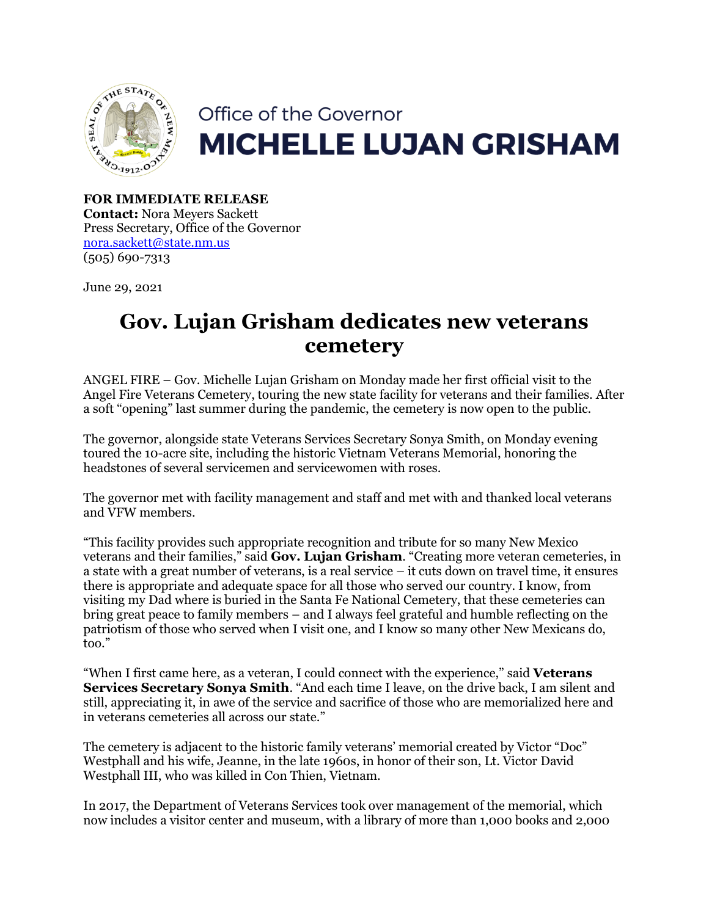

## Office of the Governor **MICHELLE LUJAN GRISHAM**

**FOR IMMEDIATE RELEASE Contact:** Nora Meyers Sackett Press Secretary, Office of the Governor [nora.sackett@state.nm.us](mailto:nora.sackett@state.nm.us) (505) 690-7313

June 29, 2021

## **Gov. Lujan Grisham dedicates new veterans cemetery**

ANGEL FIRE – Gov. Michelle Lujan Grisham on Monday made her first official visit to the Angel Fire Veterans Cemetery, touring the new state facility for veterans and their families. After a soft "opening" last summer during the pandemic, the cemetery is now open to the public.

The governor, alongside state Veterans Services Secretary Sonya Smith, on Monday evening toured the 10-acre site, including the historic Vietnam Veterans Memorial, honoring the headstones of several servicemen and servicewomen with roses.

The governor met with facility management and staff and met with and thanked local veterans and VFW members.

"This facility provides such appropriate recognition and tribute for so many New Mexico veterans and their families," said **Gov. Lujan Grisham**. "Creating more veteran cemeteries, in a state with a great number of veterans, is a real service – it cuts down on travel time, it ensures there is appropriate and adequate space for all those who served our country. I know, from visiting my Dad where is buried in the Santa Fe National Cemetery, that these cemeteries can bring great peace to family members – and I always feel grateful and humble reflecting on the patriotism of those who served when I visit one, and I know so many other New Mexicans do, too."

"When I first came here, as a veteran, I could connect with the experience," said **Veterans Services Secretary Sonya Smith**. "And each time I leave, on the drive back, I am silent and still, appreciating it, in awe of the service and sacrifice of those who are memorialized here and in veterans cemeteries all across our state."

The cemetery is adjacent to the historic family veterans' memorial created by Victor "Doc" Westphall and his wife, Jeanne, in the late 1960s, in honor of their son, Lt. Victor David Westphall III, who was killed in Con Thien, Vietnam.

In 2017, the Department of Veterans Services took over management of the memorial, which now includes a visitor center and museum, with a library of more than 1,000 books and 2,000